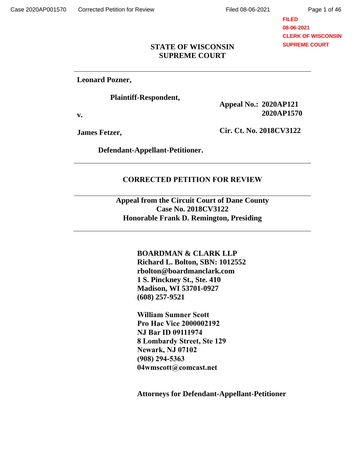## **FILED 08-06-2021 CLERK OF WISCONSIN SUPREME COURT**

## **STATE OF WISCONSIN SUPREME COURT**

**Leonard Pozner,**

**Plaintiff-Respondent,**

**v.**

**Appeal No.: 2020AP121 2020AP1570**

**James Fetzer,**

**Cir. Ct. No. 2018CV3122**

**Defendant-Appellant-Petitioner.**

## **CORRECTED PETITION FOR REVIEW**

**Appeal from the Circuit Court of Dane County Case No. 2018CV3122 Honorable Frank D. Remington, Presiding**

> **BOARDMAN & CLARK LLP Richard L. Bolton, SBN: 1012552 rbolton@boardmanclark.com 1 S. Pinckney St., Ste. 410 Madison, WI 53701-0927 (608) 257-9521**

**William Sumner Scott Pro Hac Vice 2000002192 NJ Bar ID 09111974 8 Lombardy Street, Ste 129 Newark, NJ 07102 (908) 294-5363 04wmscott@comcast.net**

**Attorneys for Defendant-Appellant-Petitioner**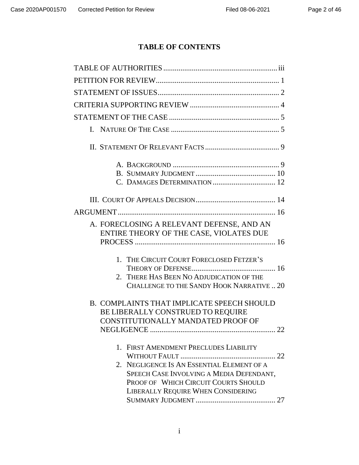# **TABLE OF CONTENTS**

| A. FORECLOSING A RELEVANT DEFENSE, AND AN<br>ENTIRE THEORY OF THE CASE, VIOLATES DUE                                                                                                                           |
|----------------------------------------------------------------------------------------------------------------------------------------------------------------------------------------------------------------|
| 1. THE CIRCUIT COURT FORECLOSED FETZER'S<br>2. THERE HAS BEEN NO ADJUDICATION OF THE<br>CHALLENGE TO THE SANDY HOOK NARRATIVE20                                                                                |
| B. COMPLAINTS THAT IMPLICATE SPEECH SHOULD<br>BE LIBERALLY CONSTRUED TO REQUIRE<br>CONSTITUTIONALLY MANDATED PROOF OF<br>22                                                                                    |
| 1. FIRST AMENDMENT PRECLUDES LIABILITY<br>2. NEGLIGENCE IS AN ESSENTIAL ELEMENT OF A<br>SPEECH CASE INVOLVING A MEDIA DEFENDANT,<br>PROOF OF WHICH CIRCUIT COURTS SHOULD<br>LIBERALLY REQUIRE WHEN CONSIDERING |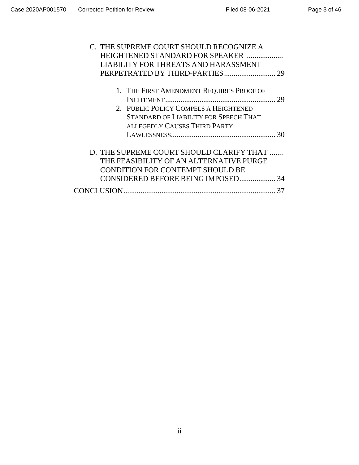| C. THE SUPREME COURT SHOULD RECOGNIZE A      |    |
|----------------------------------------------|----|
| HEIGHTENED STANDARD FOR SPEAKER              |    |
| LIABILITY FOR THREATS AND HARASSMENT         |    |
|                                              |    |
|                                              |    |
| 1. THE FIRST AMENDMENT REQUIRES PROOF OF     |    |
|                                              |    |
| 2. PUBLIC POLICY COMPELS A HEIGHTENED        |    |
| <b>STANDARD OF LIABILITY FOR SPEECH THAT</b> |    |
| <b>ALLEGEDLY CAUSES THIRD PARTY</b>          |    |
|                                              |    |
|                                              |    |
| D. THE SUPREME COURT SHOULD CLARIFY THAT     |    |
| THE FEASIBILITY OF AN ALTERNATIVE PURGE      |    |
| <b>CONDITION FOR CONTEMPT SHOULD BE</b>      |    |
|                                              |    |
|                                              | 37 |
|                                              |    |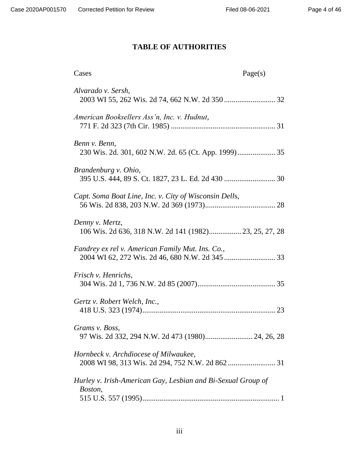# <span id="page-3-0"></span>**TABLE OF AUTHORITIES**

| Cases                                                                     | Page(s) |
|---------------------------------------------------------------------------|---------|
| Alvarado v. Sersh,                                                        |         |
| American Booksellers Ass'n, Inc. v. Hudnut,                               |         |
| Benn v. Benn,                                                             |         |
| Brandenburg v. Ohio,                                                      |         |
| Capt. Soma Boat Line, Inc. v. City of Wisconsin Dells,                    |         |
| Denny v. Mertz,<br>106 Wis. 2d 636, 318 N.W. 2d 141 (1982) 23, 25, 27, 28 |         |
| Fandrey ex rel v. American Family Mut. Ins. Co.,                          |         |
| <i>Frisch v. Henrichs,</i>                                                |         |
| Gertz v. Robert Welch, Inc.,                                              |         |
| Grams v. Boss,<br>97 Wis. 2d 332, 294 N.W. 2d 473 (1980) 24, 26, 28       |         |
| Hornbeck v. Archdiocese of Milwaukee,                                     |         |
| Hurley v. Irish-American Gay, Lesbian and Bi-Sexual Group of<br>Boston,   |         |
|                                                                           |         |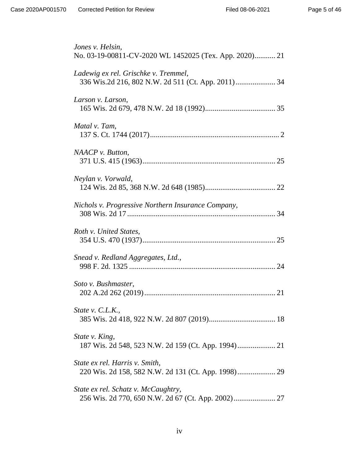| Jones v. Helsin,<br>No. 03-19-00811-CV-2020 WL 1452025 (Tex. App. 2020) 21 |
|----------------------------------------------------------------------------|
| Ladewig ex rel. Grischke v. Tremmel,                                       |
| Larson v. Larson,                                                          |
| Matal v. Tam,                                                              |
| NAACP v. Button,                                                           |
| Neylan v. Vorwald,                                                         |
| Nichols v. Progressive Northern Insurance Company,                         |
| Roth v. United States,                                                     |
| Snead v. Redland Aggregates, Ltd.,                                         |
| Soto v. Bushmaster,                                                        |
| State v. $C.L.K.,$                                                         |
| State v. King,                                                             |
| State ex rel. Harris v. Smith,                                             |
| State ex rel. Schatz v. McCaughtry,                                        |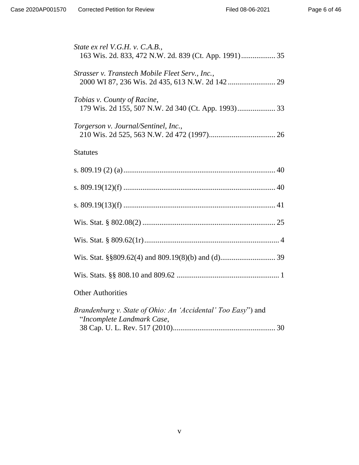| State ex rel V.G.H. v. C.A.B.,<br>163 Wis. 2d. 833, 472 N.W. 2d. 839 (Ct. App. 1991) 35    |
|--------------------------------------------------------------------------------------------|
| Strasser v. Transtech Mobile Fleet Serv., Inc.,                                            |
| Tobias v. County of Racine,<br>179 Wis. 2d 155, 507 N.W. 2d 340 (Ct. App. 1993) 33         |
| Torgerson v. Journal/Sentinel, Inc.,                                                       |
| <b>Statutes</b>                                                                            |
|                                                                                            |
|                                                                                            |
|                                                                                            |
|                                                                                            |
|                                                                                            |
|                                                                                            |
|                                                                                            |
| <b>Other Authorities</b>                                                                   |
| Brandenburg v. State of Ohio: An 'Accidental' Too Easy") and<br>"Incomplete Landmark Case, |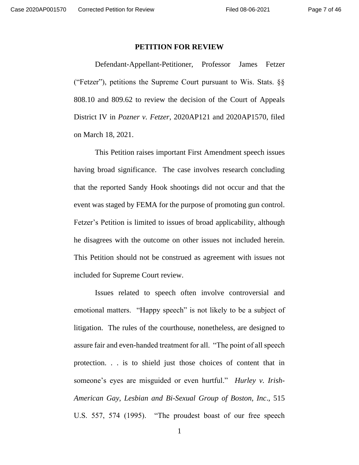#### <span id="page-6-0"></span>**PETITION FOR REVIEW**

Defendant-Appellant-Petitioner, Professor James Fetzer ("Fetzer"), petitions the Supreme Court pursuant to Wis. Stats.  $\S$ § 808.10 and 809.62 to review the decision of the Court of Appeals District IV in *Pozner v. Fetzer*, 2020AP121 and 2020AP1570, filed on March 18, 2021.

This Petition raises important First Amendment speech issues having broad significance. The case involves research concluding that the reported Sandy Hook shootings did not occur and that the event was staged by FEMA for the purpose of promoting gun control. Fetzer's Petition is limited to issues of broad applicability, although he disagrees with the outcome on other issues not included herein. This Petition should not be construed as agreement with issues not included for Supreme Court review.

Issues related to speech often involve controversial and emotional matters. "Happy speech" is not likely to be a subject of litigation. The rules of the courthouse, nonetheless, are designed to assure fair and even-handed treatment for all. "The point of all speech protection. . . is to shield just those choices of content that in someone's eyes are misguided or even hurtful." *Hurley v. Irish-American Gay, Lesbian and Bi-Sexual Group of Boston, Inc*., 515 U.S. 557, 574 (1995). "The proudest boast of our free speech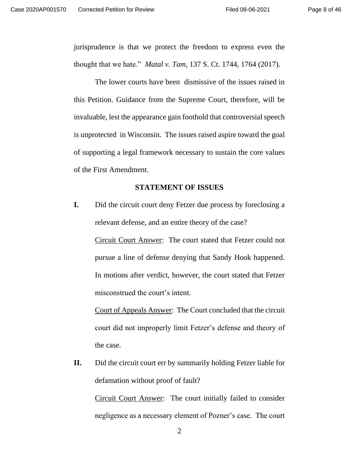jurisprudence is that we protect the freedom to express even the thought that we hate." *Matal v. Tam*, 137 S. Ct. 1744, 1764 (2017).

The lower courts have been dismissive of the issues raised in this Petition. Guidance from the Supreme Court, therefore, will be invaluable, lest the appearance gain foothold that controversial speech is unprotected in Wisconsin. The issues raised aspire toward the goal of supporting a legal framework necessary to sustain the core values of the First Amendment.

## <span id="page-7-0"></span>**STATEMENT OF ISSUES**

**I.** Did the circuit court deny Fetzer due process by foreclosing a relevant defense, and an entire theory of the case?

Circuit Court Answer: The court stated that Fetzer could not pursue a line of defense denying that Sandy Hook happened. In motions after verdict, however, the court stated that Fetzer misconstrued the court's intent.

Court of Appeals Answer: The Court concluded that the circuit court did not improperly limit Fetzer's defense and theory of the case.

**II.** Did the circuit court err by summarily holding Fetzer liable for defamation without proof of fault?

Circuit Court Answer: The court initially failed to consider negligence as a necessary element of Pozner's case. The court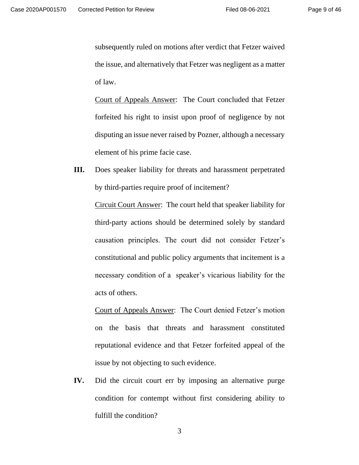subsequently ruled on motions after verdict that Fetzer waived the issue, and alternatively that Fetzer was negligent as a matter of law.

Court of Appeals Answer: The Court concluded that Fetzer forfeited his right to insist upon proof of negligence by not disputing an issue never raised by Pozner, although a necessary element of his prime facie case.

**III.** Does speaker liability for threats and harassment perpetrated by third-parties require proof of incitement?

> Circuit Court Answer: The court held that speaker liability for third-party actions should be determined solely by standard causation principles. The court did not consider Fetzer's constitutional and public policy arguments that incitement is a necessary condition of a speaker's vicarious liability for the acts of others.

> Court of Appeals Answer: The Court denied Fetzer's motion on the basis that threats and harassment constituted reputational evidence and that Fetzer forfeited appeal of the issue by not objecting to such evidence.

**IV.** Did the circuit court err by imposing an alternative purge condition for contempt without first considering ability to fulfill the condition?

3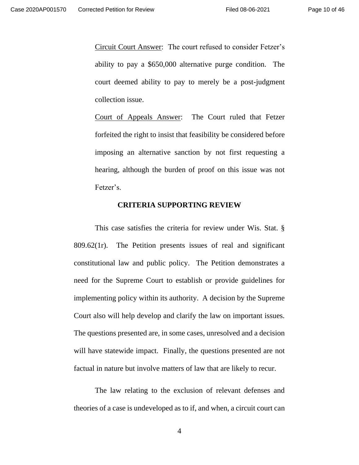Circuit Court Answer: The court refused to consider Fetzer's ability to pay a \$650,000 alternative purge condition. The court deemed ability to pay to merely be a post-judgment collection issue.

Court of Appeals Answer: The Court ruled that Fetzer forfeited the right to insist that feasibility be considered before imposing an alternative sanction by not first requesting a hearing, although the burden of proof on this issue was not Fetzer's.

## <span id="page-9-0"></span>**CRITERIA SUPPORTING REVIEW**

This case satisfies the criteria for review under Wis. Stat. § 809.62(1r). The Petition presents issues of real and significant constitutional law and public policy. The Petition demonstrates a need for the Supreme Court to establish or provide guidelines for implementing policy within its authority. A decision by the Supreme Court also will help develop and clarify the law on important issues. The questions presented are, in some cases, unresolved and a decision will have statewide impact. Finally, the questions presented are not factual in nature but involve matters of law that are likely to recur.

The law relating to the exclusion of relevant defenses and theories of a case is undeveloped as to if, and when, a circuit court can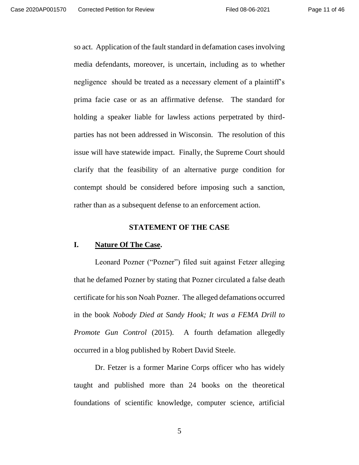so act. Application of the fault standard in defamation cases involving media defendants, moreover, is uncertain, including as to whether negligence should be treated as a necessary element of a plaintiff's prima facie case or as an affirmative defense. The standard for holding a speaker liable for lawless actions perpetrated by thirdparties has not been addressed in Wisconsin. The resolution of this issue will have statewide impact. Finally, the Supreme Court should clarify that the feasibility of an alternative purge condition for contempt should be considered before imposing such a sanction, rather than as a subsequent defense to an enforcement action.

### <span id="page-10-1"></span><span id="page-10-0"></span>**STATEMENT OF THE CASE**

### **I. Nature Of The Case.**

Leonard Pozner ("Pozner") filed suit against Fetzer alleging that he defamed Pozner by stating that Pozner circulated a false death certificate for his son Noah Pozner. The alleged defamations occurred in the book *Nobody Died at Sandy Hook; It was a FEMA Drill to Promote Gun Control* (2015). A fourth defamation allegedly occurred in a blog published by Robert David Steele.

Dr. Fetzer is a former Marine Corps officer who has widely taught and published more than 24 books on the theoretical foundations of scientific knowledge, computer science, artificial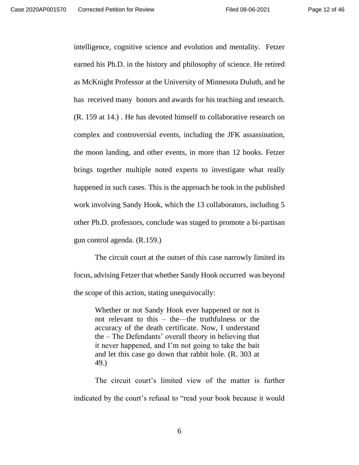intelligence, cognitive science and evolution and mentality. Fetzer earned his Ph.D. in the history and philosophy of science. He retired as McKnight Professor at the University of Minnesota Duluth, and he has received many honors and awards for his teaching and research. (R. 159 at 14.) . He has devoted himself to collaborative research on complex and controversial events, including the JFK assassination, the moon landing, and other events, in more than 12 books. Fetzer brings together multiple noted experts to investigate what really happened in such cases. This is the approach he took in the published work involving Sandy Hook, which the 13 collaborators, including 5 other Ph.D. professors, conclude was staged to promote a bi-partisan gun control agenda. (R.159.)

The circuit court at the outset of this case narrowly limited its focus, advising Fetzer that whether Sandy Hook occurred was beyond the scope of this action, stating unequivocally:

Whether or not Sandy Hook ever happened or not is not relevant to this – the—the truthfulness or the accuracy of the death certificate. Now, I understand the – The Defendants' overall theory in believing that it never happened, and I'm not going to take the bait and let this case go down that rabbit hole. (R. 303 at 49.)

The circuit court's limited view of the matter is further indicated by the court's refusal to "read your book because it would

6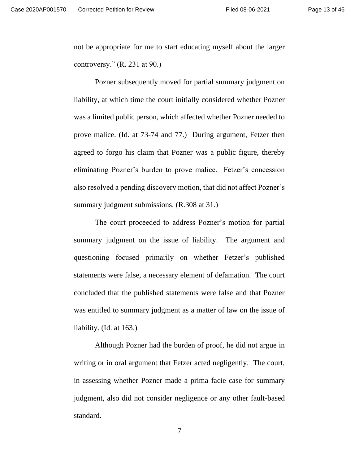not be appropriate for me to start educating myself about the larger controversy."  $(R. 231$  at  $90.)$ 

Pozner subsequently moved for partial summary judgment on liability, at which time the court initially considered whether Pozner was a limited public person, which affected whether Pozner needed to prove malice. (Id. at 73-74 and 77.) During argument, Fetzer then agreed to forgo his claim that Pozner was a public figure, thereby eliminating Pozner's burden to prove malice. Fetzer's concession also resolved a pending discovery motion, that did not affect Pozner's summary judgment submissions. (R.308 at 31.)

The court proceeded to address Pozner's motion for partial summary judgment on the issue of liability. The argument and questioning focused primarily on whether Fetzer's published statements were false, a necessary element of defamation. The court concluded that the published statements were false and that Pozner was entitled to summary judgment as a matter of law on the issue of liability. (Id. at 163.)

Although Pozner had the burden of proof, he did not argue in writing or in oral argument that Fetzer acted negligently. The court, in assessing whether Pozner made a prima facie case for summary judgment, also did not consider negligence or any other fault-based standard.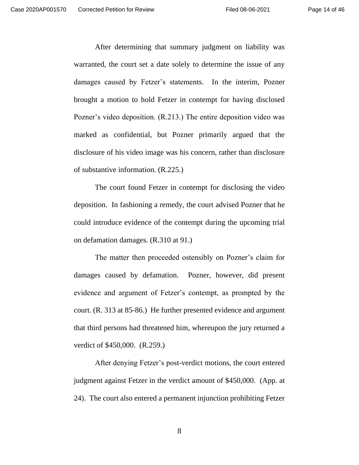After determining that summary judgment on liability was warranted, the court set a date solely to determine the issue of any damages caused by Fetzer's statements. In the interim, Pozner brought a motion to hold Fetzer in contempt for having disclosed Pozner's video deposition. (R.213.) The entire deposition video was marked as confidential, but Pozner primarily argued that the disclosure of his video image was his concern, rather than disclosure of substantive information. (R.225.)

The court found Fetzer in contempt for disclosing the video deposition. In fashioning a remedy, the court advised Pozner that he could introduce evidence of the contempt during the upcoming trial on defamation damages. (R.310 at 91.)

The matter then proceeded ostensibly on Pozner's claim for damages caused by defamation. Pozner, however, did present evidence and argument of Fetzer's contempt, as prompted by the court. (R. 313 at 85-86.) He further presented evidence and argument that third persons had threatened him, whereupon the jury returned a verdict of \$450,000. (R.259.)

After denying Fetzer's post-verdict motions, the court entered judgment against Fetzer in the verdict amount of \$450,000. (App. at 24). The court also entered a permanent injunction prohibiting Fetzer

8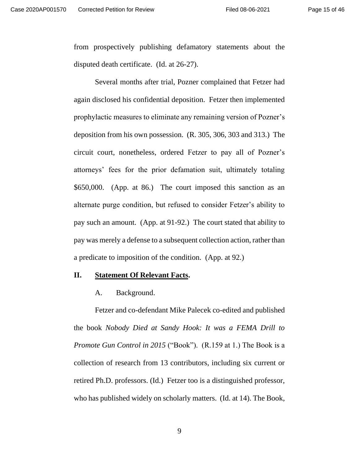from prospectively publishing defamatory statements about the disputed death certificate. (Id. at 26-27).

Several months after trial, Pozner complained that Fetzer had again disclosed his confidential deposition. Fetzer then implemented prophylactic measures to eliminate any remaining version of Pozner's deposition from his own possession. (R. 305, 306, 303 and 313.) The circuit court, nonetheless, ordered Fetzer to pay all of Pozner's attorneys' fees for the prior defamation suit, ultimately totaling \$650,000. (App. at 86.) The court imposed this sanction as an alternate purge condition, but refused to consider Fetzer's ability to pay such an amount. (App. at 91-92.) The court stated that ability to pay was merely a defense to a subsequent collection action, rather than a predicate to imposition of the condition. (App. at 92.)

## **II. Statement Of Relevant Facts.**

<span id="page-14-1"></span><span id="page-14-0"></span>A. Background.

Fetzer and co-defendant Mike Palecek co-edited and published the book *Nobody Died at Sandy Hook: It was a FEMA Drill to Promote Gun Control in 2015* ("Book"). (R.159 at 1.) The Book is a collection of research from 13 contributors, including six current or retired Ph.D. professors. (Id.) Fetzer too is a distinguished professor, who has published widely on scholarly matters. (Id. at 14). The Book,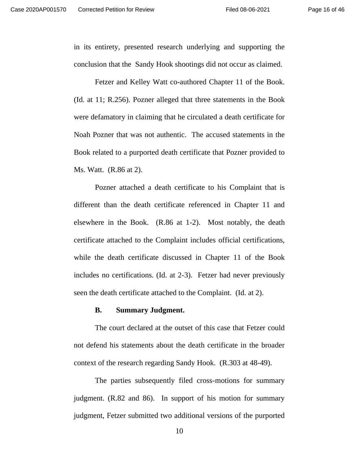in its entirety, presented research underlying and supporting the conclusion that the Sandy Hook shootings did not occur as claimed.

Fetzer and Kelley Watt co-authored Chapter 11 of the Book. (Id. at 11; R.256). Pozner alleged that three statements in the Book were defamatory in claiming that he circulated a death certificate for Noah Pozner that was not authentic. The accused statements in the Book related to a purported death certificate that Pozner provided to Ms. Watt. (R.86 at 2).

Pozner attached a death certificate to his Complaint that is different than the death certificate referenced in Chapter 11 and elsewhere in the Book. (R.86 at 1-2). Most notably, the death certificate attached to the Complaint includes official certifications, while the death certificate discussed in Chapter 11 of the Book includes no certifications. (Id. at 2-3). Fetzer had never previously seen the death certificate attached to the Complaint. (Id. at 2).

### <span id="page-15-0"></span>**B. Summary Judgment.**

The court declared at the outset of this case that Fetzer could not defend his statements about the death certificate in the broader context of the research regarding Sandy Hook. (R.303 at 48-49).

The parties subsequently filed cross-motions for summary judgment. (R.82 and 86). In support of his motion for summary judgment, Fetzer submitted two additional versions of the purported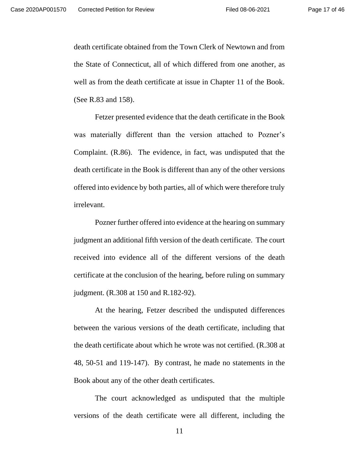death certificate obtained from the Town Clerk of Newtown and from the State of Connecticut, all of which differed from one another, as well as from the death certificate at issue in Chapter 11 of the Book. (See R.83 and 158).

Fetzer presented evidence that the death certificate in the Book was materially different than the version attached to Pozner's Complaint. (R.86). The evidence, in fact, was undisputed that the death certificate in the Book is different than any of the other versions offered into evidence by both parties, all of which were therefore truly irrelevant.

Pozner further offered into evidence at the hearing on summary judgment an additional fifth version of the death certificate. The court received into evidence all of the different versions of the death certificate at the conclusion of the hearing, before ruling on summary judgment. (R.308 at 150 and R.182-92).

At the hearing, Fetzer described the undisputed differences between the various versions of the death certificate, including that the death certificate about which he wrote was not certified. (R.308 at 48, 50-51 and 119-147). By contrast, he made no statements in the Book about any of the other death certificates.

The court acknowledged as undisputed that the multiple versions of the death certificate were all different, including the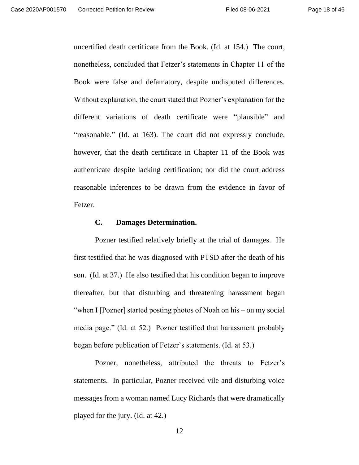uncertified death certificate from the Book. (Id. at 154.) The court, nonetheless, concluded that Fetzer's statements in Chapter 11 of the Book were false and defamatory, despite undisputed differences. Without explanation, the court stated that Pozner's explanation for the different variations of death certificate were "plausible" and "reasonable." (Id. at 163). The court did not expressly conclude, however, that the death certificate in Chapter 11 of the Book was authenticate despite lacking certification; nor did the court address reasonable inferences to be drawn from the evidence in favor of Fetzer.

### <span id="page-17-0"></span>**C. Damages Determination.**

Pozner testified relatively briefly at the trial of damages. He first testified that he was diagnosed with PTSD after the death of his son. (Id. at 37.) He also testified that his condition began to improve thereafter, but that disturbing and threatening harassment began "when I [Pozner] started posting photos of Noah on his – on my social media page." (Id. at 52.) Pozner testified that harassment probably began before publication of Fetzer's statements. (Id. at 53.)

Pozner, nonetheless, attributed the threats to Fetzer's statements. In particular, Pozner received vile and disturbing voice messages from a woman named Lucy Richards that were dramatically played for the jury. (Id. at 42.)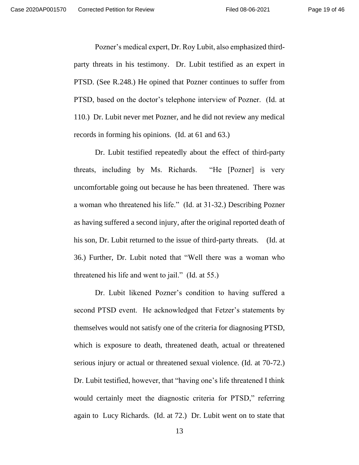Pozner's medical expert, Dr. Roy Lubit, also emphasized thirdparty threats in his testimony. Dr. Lubit testified as an expert in PTSD. (See R.248.) He opined that Pozner continues to suffer from PTSD, based on the doctor's telephone interview of Pozner. (Id. at 110.) Dr. Lubit never met Pozner, and he did not review any medical records in forming his opinions. (Id. at 61 and 63.)

Dr. Lubit testified repeatedly about the effect of third-party threats, including by Ms. Richards. "He [Pozner] is very uncomfortable going out because he has been threatened. There was a woman who threatened his life." (Id. at 31-32.) Describing Pozner as having suffered a second injury, after the original reported death of his son, Dr. Lubit returned to the issue of third-party threats. (Id. at 36.) Further, Dr. Lubit noted that "Well there was a woman who threatened his life and went to jail." (Id. at 55.)

Dr. Lubit likened Pozner's condition to having suffered a second PTSD event. He acknowledged that Fetzer's statements by themselves would not satisfy one of the criteria for diagnosing PTSD, which is exposure to death, threatened death, actual or threatened serious injury or actual or threatened sexual violence. (Id. at 70-72.) Dr. Lubit testified, however, that "having one's life threatened I think would certainly meet the diagnostic criteria for PTSD," referring again to Lucy Richards. (Id. at 72.) Dr. Lubit went on to state that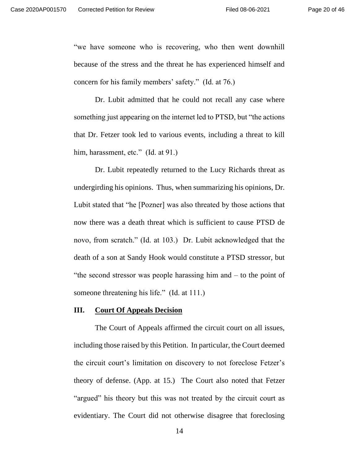"we have someone who is recovering, who then went downhill because of the stress and the threat he has experienced himself and concern for his family members' safety." (Id. at 76.)

Dr. Lubit admitted that he could not recall any case where something just appearing on the internet led to PTSD, but "the actions that Dr. Fetzer took led to various events, including a threat to kill him, harassment, etc." (Id. at 91.)

Dr. Lubit repeatedly returned to the Lucy Richards threat as undergirding his opinions. Thus, when summarizing his opinions, Dr. Lubit stated that "he [Pozner] was also threated by those actions that now there was a death threat which is sufficient to cause PTSD de novo, from scratch." (Id. at 103.) Dr. Lubit acknowledged that the death of a son at Sandy Hook would constitute a PTSD stressor, but "the second stressor was people harassing him and – to the point of someone threatening his life." (Id. at 111.)

## <span id="page-19-0"></span>**III. Court Of Appeals Decision**

The Court of Appeals affirmed the circuit court on all issues, including those raised by this Petition. In particular, the Court deemed the circuit court's limitation on discovery to not foreclose Fetzer's theory of defense. (App. at 15.) The Court also noted that Fetzer "argued" his theory but this was not treated by the circuit court as evidentiary. The Court did not otherwise disagree that foreclosing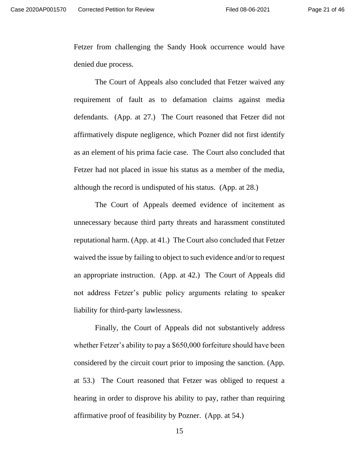Fetzer from challenging the Sandy Hook occurrence would have denied due process.

The Court of Appeals also concluded that Fetzer waived any requirement of fault as to defamation claims against media defendants. (App. at 27.) The Court reasoned that Fetzer did not affirmatively dispute negligence, which Pozner did not first identify as an element of his prima facie case. The Court also concluded that Fetzer had not placed in issue his status as a member of the media, although the record is undisputed of his status. (App. at 28.)

The Court of Appeals deemed evidence of incitement as unnecessary because third party threats and harassment constituted reputational harm. (App. at 41.) The Court also concluded that Fetzer waived the issue by failing to object to such evidence and/or to request an appropriate instruction. (App. at 42.) The Court of Appeals did not address Fetzer's public policy arguments relating to speaker liability for third-party lawlessness.

Finally, the Court of Appeals did not substantively address whether Fetzer's ability to pay a \$650,000 forfeiture should have been considered by the circuit court prior to imposing the sanction. (App. at 53.) The Court reasoned that Fetzer was obliged to request a hearing in order to disprove his ability to pay, rather than requiring affirmative proof of feasibility by Pozner. (App. at 54.)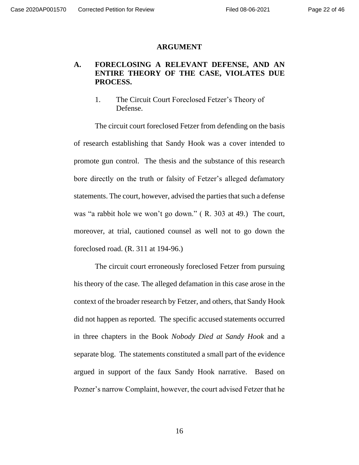#### <span id="page-21-0"></span>**ARGUMENT**

## **A. FORECLOSING A RELEVANT DEFENSE, AND AN ENTIRE THEORY OF THE CASE, VIOLATES DUE PROCESS.**

<span id="page-21-2"></span><span id="page-21-1"></span>1. The Circuit Court Foreclosed Fetzer's Theory of Defense.

The circuit court foreclosed Fetzer from defending on the basis of research establishing that Sandy Hook was a cover intended to promote gun control. The thesis and the substance of this research bore directly on the truth or falsity of Fetzer's alleged defamatory statements. The court, however, advised the parties that such a defense was "a rabbit hole we won't go down." ( R. 303 at 49.) The court, moreover, at trial, cautioned counsel as well not to go down the foreclosed road. (R. 311 at 194-96.)

The circuit court erroneously foreclosed Fetzer from pursuing his theory of the case. The alleged defamation in this case arose in the context of the broader research by Fetzer, and others, that Sandy Hook did not happen as reported. The specific accused statements occurred in three chapters in the Book *Nobody Died at Sandy Hook* and a separate blog. The statements constituted a small part of the evidence argued in support of the faux Sandy Hook narrative. Based on Pozner's narrow Complaint, however, the court advised Fetzer that he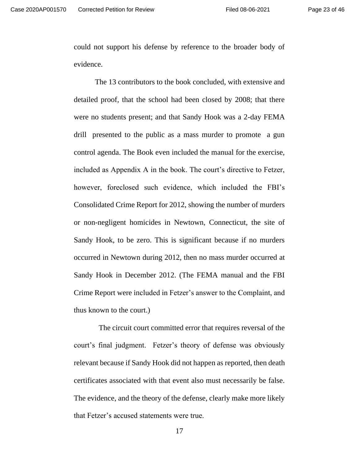could not support his defense by reference to the broader body of evidence.

The 13 contributors to the book concluded, with extensive and detailed proof, that the school had been closed by 2008; that there were no students present; and that Sandy Hook was a 2-day FEMA drill presented to the public as a mass murder to promote a gun control agenda. The Book even included the manual for the exercise, included as Appendix A in the book. The court's directive to Fetzer, however, foreclosed such evidence, which included the FBI's Consolidated Crime Report for 2012, showing the number of murders or non-negligent homicides in Newtown, Connecticut, the site of Sandy Hook, to be zero. This is significant because if no murders occurred in Newtown during 2012, then no mass murder occurred at Sandy Hook in December 2012. (The FEMA manual and the FBI Crime Report were included in Fetzer's answer to the Complaint, and thus known to the court.)

 The circuit court committed error that requires reversal of the court's final judgment. Fetzer's theory of defense was obviously relevant because if Sandy Hook did not happen as reported, then death certificates associated with that event also must necessarily be false. The evidence, and the theory of the defense, clearly make more likely that Fetzer's accused statements were true.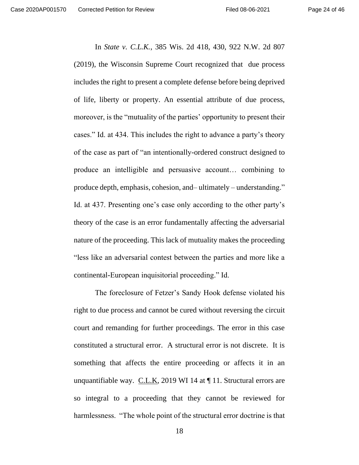In *State v. C.L.K.*, 385 Wis. 2d 418, 430, 922 N.W. 2d 807 (2019), the Wisconsin Supreme Court recognized that due process includes the right to present a complete defense before being deprived of life, liberty or property. An essential attribute of due process, moreover, is the "mutuality of the parties' opportunity to present their cases." Id. at 434. This includes the right to advance a party's theory of the case as part of "an intentionally-ordered construct designed to produce an intelligible and persuasive account… combining to produce depth, emphasis, cohesion, and– ultimately – understanding." Id. at 437. Presenting one's case only according to the other party's theory of the case is an error fundamentally affecting the adversarial nature of the proceeding. This lack of mutuality makes the proceeding "less like an adversarial contest between the parties and more like a continental-European inquisitorial proceeding." Id.

The foreclosure of Fetzer's Sandy Hook defense violated his right to due process and cannot be cured without reversing the circuit court and remanding for further proceedings. The error in this case constituted a structural error. A structural error is not discrete. It is something that affects the entire proceeding or affects it in an unquantifiable way. C.L.K, 2019 WI 14 at  $\P$  11. Structural errors are so integral to a proceeding that they cannot be reviewed for harmlessness. "The whole point of the structural error doctrine is that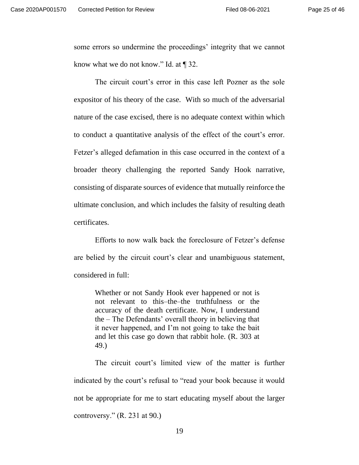some errors so undermine the proceedings' integrity that we cannot know what we do not know." Id. at ¶ 32.

The circuit court's error in this case left Pozner as the sole expositor of his theory of the case. With so much of the adversarial nature of the case excised, there is no adequate context within which to conduct a quantitative analysis of the effect of the court's error. Fetzer's alleged defamation in this case occurred in the context of a broader theory challenging the reported Sandy Hook narrative, consisting of disparate sources of evidence that mutually reinforce the ultimate conclusion, and which includes the falsity of resulting death certificates.

Efforts to now walk back the foreclosure of Fetzer's defense are belied by the circuit court's clear and unambiguous statement, considered in full:

Whether or not Sandy Hook ever happened or not is not relevant to this–the–the truthfulness or the accuracy of the death certificate. Now, I understand the – The Defendants' overall theory in believing that it never happened, and I'm not going to take the bait and let this case go down that rabbit hole. (R. 303 at 49.)

The circuit court's limited view of the matter is further indicated by the court's refusal to "read your book because it would not be appropriate for me to start educating myself about the larger controversy." (R. 231 at 90.)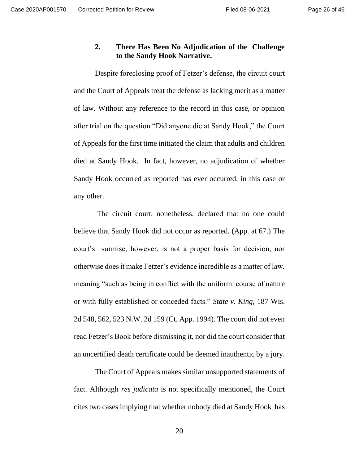## <span id="page-25-0"></span>**2. There Has Been No Adjudication of the Challenge to the Sandy Hook Narrative.**

Despite foreclosing proof of Fetzer's defense, the circuit court and the Court of Appeals treat the defense as lacking merit as a matter of law. Without any reference to the record in this case, or opinion after trial on the question "Did anyone die at Sandy Hook," the Court of Appeals for the first time initiated the claim that adults and children died at Sandy Hook. In fact, however, no adjudication of whether Sandy Hook occurred as reported has ever occurred, in this case or any other.

The circuit court, nonetheless, declared that no one could believe that Sandy Hook did not occur as reported. (App. at 67.) The court's surmise, however, is not a proper basis for decision, nor otherwise does it make Fetzer's evidence incredible as a matter of law, meaning "such as being in conflict with the uniform course of nature or with fully established or conceded facts." *State v. King*, 187 Wis. 2d 548, 562, 523 N.W. 2d 159 (Ct. App. 1994). The court did not even read Fetzer's Book before dismissing it, nor did the court consider that an uncertified death certificate could be deemed inauthentic by a jury.

The Court of Appeals makes similar unsupported statements of fact. Although *res judicata* is not specifically mentioned, the Court cites two cases implying that whether nobody died at Sandy Hook has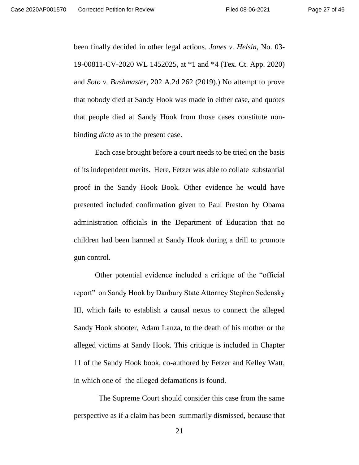been finally decided in other legal actions. *Jones v. Helsin*, No. 03- 19-00811-CV-2020 WL 1452025, at \*1 and \*4 (Tex. Ct. App. 2020) and *Soto v. Bushmaster*, 202 A.2d 262 (2019).) No attempt to prove that nobody died at Sandy Hook was made in either case, and quotes that people died at Sandy Hook from those cases constitute nonbinding *dicta* as to the present case.

Each case brought before a court needs to be tried on the basis of its independent merits. Here, Fetzer was able to collate substantial proof in the Sandy Hook Book. Other evidence he would have presented included confirmation given to Paul Preston by Obama administration officials in the Department of Education that no children had been harmed at Sandy Hook during a drill to promote gun control.

Other potential evidence included a critique of the "official report" on Sandy Hook by Danbury State Attorney Stephen Sedensky III, which fails to establish a causal nexus to connect the alleged Sandy Hook shooter, Adam Lanza, to the death of his mother or the alleged victims at Sandy Hook. This critique is included in Chapter 11 of the Sandy Hook book, co-authored by Fetzer and Kelley Watt, in which one of the alleged defamations is found.

 The Supreme Court should consider this case from the same perspective as if a claim has been summarily dismissed, because that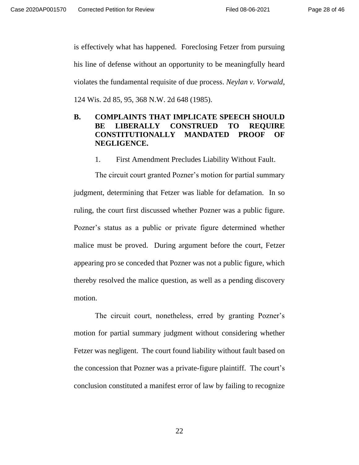is effectively what has happened. Foreclosing Fetzer from pursuing his line of defense without an opportunity to be meaningfully heard violates the fundamental requisite of due process. *Neylan v. Vorwald*, 124 Wis. 2d 85, 95, 368 N.W. 2d 648 (1985).

## **B. COMPLAINTS THAT IMPLICATE SPEECH SHOULD BE LIBERALLY CONSTRUED TO REQUIRE CONSTITUTIONALLY MANDATED PROOF OF NEGLIGENCE.**

<span id="page-27-1"></span><span id="page-27-0"></span>1. First Amendment Precludes Liability Without Fault.

The circuit court granted Pozner's motion for partial summary judgment, determining that Fetzer was liable for defamation. In so ruling, the court first discussed whether Pozner was a public figure. Pozner's status as a public or private figure determined whether malice must be proved. During argument before the court, Fetzer appearing pro se conceded that Pozner was not a public figure, which thereby resolved the malice question, as well as a pending discovery motion.

The circuit court, nonetheless, erred by granting Pozner's motion for partial summary judgment without considering whether Fetzer was negligent. The court found liability without fault based on the concession that Pozner was a private-figure plaintiff. The court's conclusion constituted a manifest error of law by failing to recognize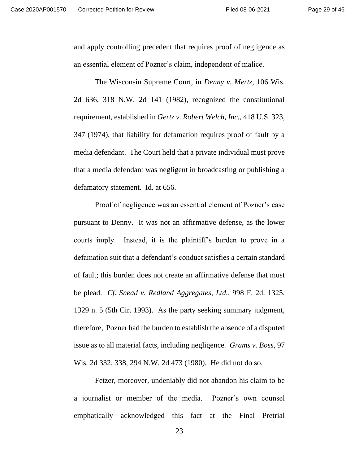and apply controlling precedent that requires proof of negligence as an essential element of Pozner's claim, independent of malice.

The Wisconsin Supreme Court, in *Denny v. Mertz*, 106 Wis. 2d 636, 318 N.W. 2d 141 (1982), recognized the constitutional requirement, established in *Gertz v. Robert Welch, Inc.*, 418 U.S. 323, 347 (1974), that liability for defamation requires proof of fault by a media defendant. The Court held that a private individual must prove that a media defendant was negligent in broadcasting or publishing a defamatory statement. Id. at 656.

Proof of negligence was an essential element of Pozner's case pursuant to Denny. It was not an affirmative defense, as the lower courts imply. Instead, it is the plaintiff's burden to prove in a defamation suit that a defendant's conduct satisfies a certain standard of fault; this burden does not create an affirmative defense that must be plead. *Cf. Snead v. Redland Aggregates, Ltd.*, 998 F. 2d. 1325, 1329 n. 5 (5th Cir. 1993). As the party seeking summary judgment, therefore, Pozner had the burden to establish the absence of a disputed issue as to all material facts, including negligence. *Grams v. Boss*, 97 Wis. 2d 332, 338, 294 N.W. 2d 473 (1980). He did not do so.

Fetzer, moreover, undeniably did not abandon his claim to be a journalist or member of the media. Pozner's own counsel emphatically acknowledged this fact at the Final Pretrial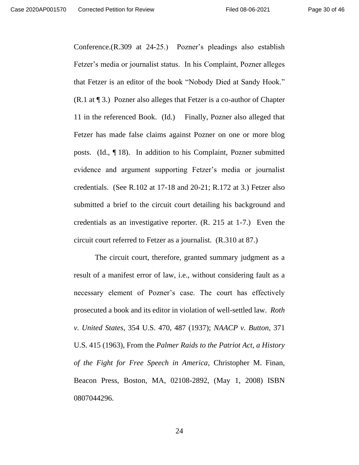Conference.(R.309 at 24-25.) Pozner's pleadings also establish Fetzer's media or journalist status. In his Complaint, Pozner alleges that Fetzer is an editor of the book "Nobody Died at Sandy Hook." (R.1 at ¶ 3.) Pozner also alleges that Fetzer is a co-author of Chapter 11 in the referenced Book. (Id.) Finally, Pozner also alleged that Fetzer has made false claims against Pozner on one or more blog posts. (Id., ¶ 18). In addition to his Complaint, Pozner submitted evidence and argument supporting Fetzer's media or journalist credentials. (See R.102 at 17-18 and 20-21; R.172 at 3.) Fetzer also submitted a brief to the circuit court detailing his background and credentials as an investigative reporter. (R. 215 at 1-7.) Even the circuit court referred to Fetzer as a journalist. (R.310 at 87.)

The circuit court, therefore, granted summary judgment as a result of a manifest error of law, i.e., without considering fault as a necessary element of Pozner's case. The court has effectively prosecuted a book and its editor in violation of well-settled law. *Roth v. United States*, 354 U.S. 470, 487 (1937); *NAACP v. Button*, 371 U.S. 415 (1963), From the *Palmer Raids to the Patriot Act, a History of the Fight for Free Speech in America*, Christopher M. Finan, Beacon Press, Boston, MA, 02108-2892, (May 1, 2008) ISBN 0807044296.

24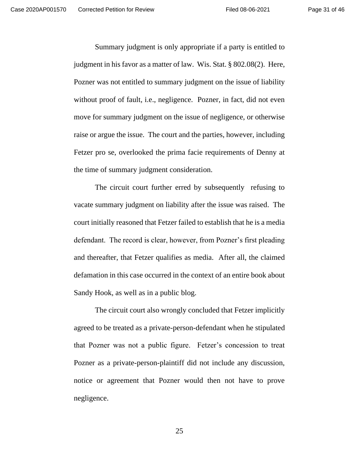Summary judgment is only appropriate if a party is entitled to judgment in his favor as a matter of law. Wis. Stat. § 802.08(2). Here, Pozner was not entitled to summary judgment on the issue of liability without proof of fault, i.e., negligence. Pozner, in fact, did not even move for summary judgment on the issue of negligence, or otherwise raise or argue the issue. The court and the parties, however, including Fetzer pro se, overlooked the prima facie requirements of Denny at the time of summary judgment consideration.

The circuit court further erred by subsequently refusing to vacate summary judgment on liability after the issue was raised. The court initially reasoned that Fetzer failed to establish that he is a media defendant. The record is clear, however, from Pozner's first pleading and thereafter, that Fetzer qualifies as media. After all, the claimed defamation in this case occurred in the context of an entire book about Sandy Hook, as well as in a public blog.

The circuit court also wrongly concluded that Fetzer implicitly agreed to be treated as a private-person-defendant when he stipulated that Pozner was not a public figure. Fetzer's concession to treat Pozner as a private-person-plaintiff did not include any discussion, notice or agreement that Pozner would then not have to prove negligence.

25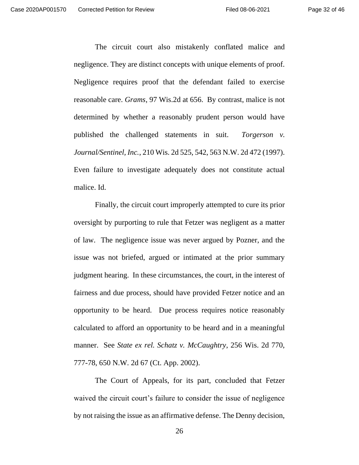The circuit court also mistakenly conflated malice and negligence. They are distinct concepts with unique elements of proof. Negligence requires proof that the defendant failed to exercise reasonable care. *Grams*, 97 Wis.2d at 656. By contrast, malice is not determined by whether a reasonably prudent person would have published the challenged statements in suit. *Torgerson v. Journal/Sentinel, Inc.*, 210 Wis. 2d 525, 542, 563 N.W. 2d 472 (1997). Even failure to investigate adequately does not constitute actual malice. Id.

Finally, the circuit court improperly attempted to cure its prior oversight by purporting to rule that Fetzer was negligent as a matter of law. The negligence issue was never argued by Pozner, and the issue was not briefed, argued or intimated at the prior summary judgment hearing. In these circumstances, the court, in the interest of fairness and due process, should have provided Fetzer notice and an opportunity to be heard. Due process requires notice reasonably calculated to afford an opportunity to be heard and in a meaningful manner. See *State ex rel. Schatz v. McCaughtry*, 256 Wis. 2d 770, 777-78, 650 N.W. 2d 67 (Ct. App. 2002).

The Court of Appeals, for its part, concluded that Fetzer waived the circuit court's failure to consider the issue of negligence by not raising the issue as an affirmative defense. The Denny decision,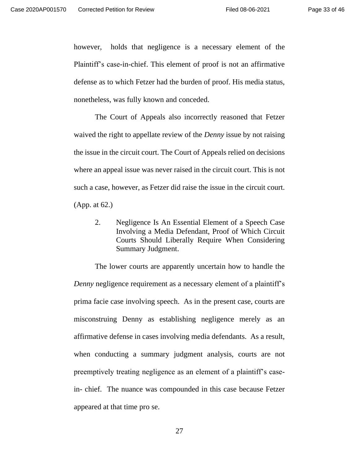however, holds that negligence is a necessary element of the Plaintiff's case-in-chief. This element of proof is not an affirmative defense as to which Fetzer had the burden of proof. His media status, nonetheless, was fully known and conceded.

The Court of Appeals also incorrectly reasoned that Fetzer waived the right to appellate review of the *Denny* issue by not raising the issue in the circuit court. The Court of Appeals relied on decisions where an appeal issue was never raised in the circuit court. This is not such a case, however, as Fetzer did raise the issue in the circuit court. (App. at 62.)

<span id="page-32-0"></span>2. Negligence Is An Essential Element of a Speech Case Involving a Media Defendant, Proof of Which Circuit Courts Should Liberally Require When Considering Summary Judgment.

The lower courts are apparently uncertain how to handle the *Denny* negligence requirement as a necessary element of a plaintiff's prima facie case involving speech. As in the present case, courts are misconstruing Denny as establishing negligence merely as an affirmative defense in cases involving media defendants. As a result, when conducting a summary judgment analysis, courts are not preemptively treating negligence as an element of a plaintiff's casein- chief. The nuance was compounded in this case because Fetzer appeared at that time pro se.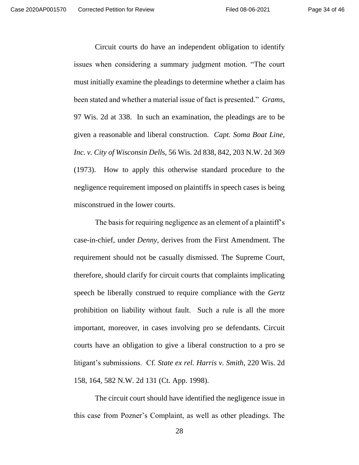Circuit courts do have an independent obligation to identify issues when considering a summary judgment motion. "The court must initially examine the pleadings to determine whether a claim has been stated and whether a material issue of fact is presented." *Grams*, 97 Wis. 2d at 338. In such an examination, the pleadings are to be given a reasonable and liberal construction. *Capt. Soma Boat Line, Inc. v. City of Wisconsin Dell*s, 56 Wis. 2d 838, 842, 203 N.W. 2d 369 (1973). How to apply this otherwise standard procedure to the negligence requirement imposed on plaintiffs in speech cases is being misconstrued in the lower courts.

The basis for requiring negligence as an element of a plaintiff's case-in-chief, under *Denny*, derives from the First Amendment. The requirement should not be casually dismissed. The Supreme Court, therefore, should clarify for circuit courts that complaints implicating speech be liberally construed to require compliance with the *Gertz* prohibition on liability without fault. Such a rule is all the more important, moreover, in cases involving pro se defendants. Circuit courts have an obligation to give a liberal construction to a pro se litigant's submissions. Cf. *State ex rel. Harris v. Smith*, 220 Wis. 2d 158, 164, 582 N.W. 2d 131 (Ct. App. 1998).

The circuit court should have identified the negligence issue in this case from Pozner's Complaint, as well as other pleadings. The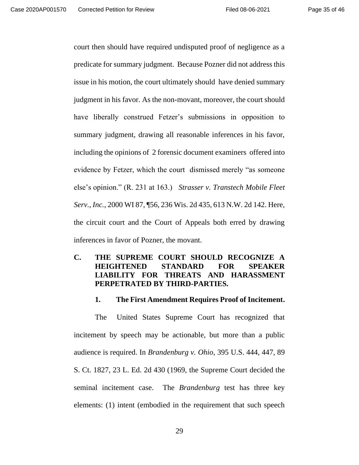court then should have required undisputed proof of negligence as a predicate for summary judgment. Because Pozner did not address this issue in his motion, the court ultimately should have denied summary judgment in his favor. As the non-movant, moreover, the court should have liberally construed Fetzer's submissions in opposition to summary judgment, drawing all reasonable inferences in his favor, including the opinions of 2 forensic document examiners offered into evidence by Fetzer, which the court dismissed merely "as someone else's opinion." (R. 231 at 163.) *Strasser v. Transtech Mobile Fleet Serv., Inc.*, 2000 WI 87, ¶56, 236 Wis. 2d 435, 613 N.W. 2d 142. Here, the circuit court and the Court of Appeals both erred by drawing inferences in favor of Pozner, the movant.

## **C. THE SUPREME COURT SHOULD RECOGNIZE A HEIGHTENED STANDARD FOR SPEAKER LIABILITY FOR THREATS AND HARASSMENT PERPETRATED BY THIRD-PARTIES.**

## <span id="page-34-1"></span><span id="page-34-0"></span>**1. The First Amendment Requires Proof of Incitement.**

The United States Supreme Court has recognized that incitement by speech may be actionable, but more than a public audience is required. In *Brandenburg v. Ohio*, 395 U.S. 444, 447, 89 S. Ct. 1827, 23 L. Ed. 2d 430 (1969, the Supreme Court decided the seminal incitement case. The *Brandenburg* test has three key elements: (1) intent (embodied in the requirement that such speech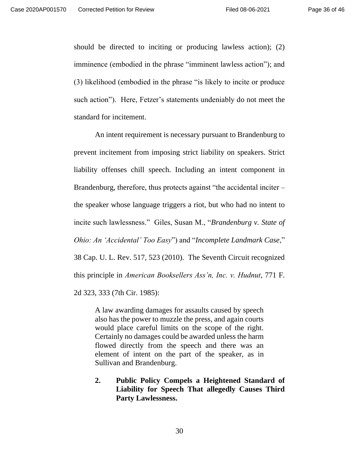should be directed to inciting or producing lawless action); (2) imminence (embodied in the phrase "imminent lawless action"); and (3) likelihood (embodied in the phrase "is likely to incite or produce such action"). Here, Fetzer's statements undeniably do not meet the standard for incitement.

An intent requirement is necessary pursuant to Brandenburg to prevent incitement from imposing strict liability on speakers. Strict liability offenses chill speech. Including an intent component in Brandenburg, therefore, thus protects against "the accidental inciter – the speaker whose language triggers a riot, but who had no intent to incite such lawlessness." Giles, Susan M., "*Brandenburg v. State of Ohio: An 'Accidental' Too Easy*") and "*Incomplete Landmark Case*," 38 Cap. U. L. Rev. 517, 523 (2010). The Seventh Circuit recognized this principle in *American Booksellers Ass'n, Inc. v. Hudnut*, 771 F. 2d 323, 333 (7th Cir. 1985):

A law awarding damages for assaults caused by speech also has the power to muzzle the press, and again courts would place careful limits on the scope of the right. Certainly no damages could be awarded unless the harm flowed directly from the speech and there was an element of intent on the part of the speaker, as in Sullivan and Brandenburg.

<span id="page-35-0"></span>**2. Public Policy Compels a Heightened Standard of Liability for Speech That allegedly Causes Third Party Lawlessness.**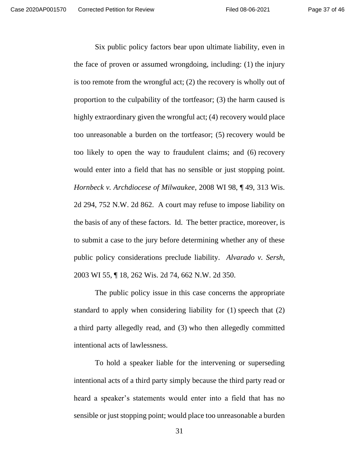Six public policy factors bear upon ultimate liability, even in the face of proven or assumed wrongdoing, including: (1) the injury is too remote from the wrongful act; (2) the recovery is wholly out of proportion to the culpability of the tortfeasor; (3) the harm caused is highly extraordinary given the wrongful act; (4) recovery would place too unreasonable a burden on the tortfeasor; (5) recovery would be too likely to open the way to fraudulent claims; and (6) recovery would enter into a field that has no sensible or just stopping point. *Hornbeck v. Archdiocese of Milwaukee*, 2008 WI 98, ¶ 49, 313 Wis. 2d 294, 752 N.W. 2d 862. A court may refuse to impose liability on the basis of any of these factors. Id. The better practice, moreover, is to submit a case to the jury before determining whether any of these public policy considerations preclude liability. *Alvarado v. Sersh*, 2003 WI 55, ¶ 18, 262 Wis. 2d 74, 662 N.W. 2d 350.

The public policy issue in this case concerns the appropriate standard to apply when considering liability for (1) speech that (2) a third party allegedly read, and (3) who then allegedly committed intentional acts of lawlessness.

To hold a speaker liable for the intervening or superseding intentional acts of a third party simply because the third party read or heard a speaker's statements would enter into a field that has no sensible or just stopping point; would place too unreasonable a burden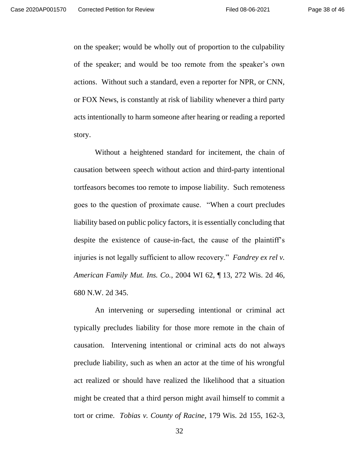on the speaker; would be wholly out of proportion to the culpability of the speaker; and would be too remote from the speaker's own actions. Without such a standard, even a reporter for NPR, or CNN, or FOX News, is constantly at risk of liability whenever a third party acts intentionally to harm someone after hearing or reading a reported story.

Without a heightened standard for incitement, the chain of causation between speech without action and third-party intentional tortfeasors becomes too remote to impose liability. Such remoteness goes to the question of proximate cause. "When a court precludes liability based on public policy factors, it is essentially concluding that despite the existence of cause-in-fact, the cause of the plaintiff's injuries is not legally sufficient to allow recovery." *Fandrey ex rel v. American Family Mut. Ins. Co.*, 2004 WI 62, ¶ 13, 272 Wis. 2d 46, 680 N.W. 2d 345.

An intervening or superseding intentional or criminal act typically precludes liability for those more remote in the chain of causation. Intervening intentional or criminal acts do not always preclude liability, such as when an actor at the time of his wrongful act realized or should have realized the likelihood that a situation might be created that a third person might avail himself to commit a tort or crime. *Tobias v. County of Racine*, 179 Wis. 2d 155, 162-3,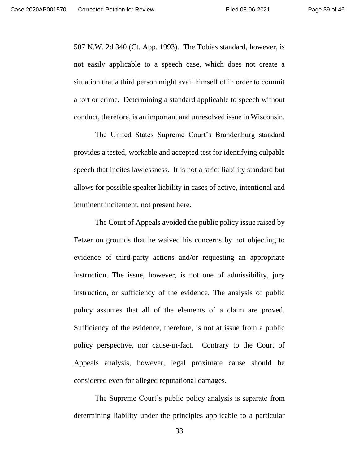507 N.W. 2d 340 (Ct. App. 1993). The Tobias standard, however, is not easily applicable to a speech case, which does not create a situation that a third person might avail himself of in order to commit a tort or crime. Determining a standard applicable to speech without conduct, therefore, is an important and unresolved issue in Wisconsin.

The United States Supreme Court's Brandenburg standard provides a tested, workable and accepted test for identifying culpable speech that incites lawlessness. It is not a strict liability standard but allows for possible speaker liability in cases of active, intentional and imminent incitement, not present here.

The Court of Appeals avoided the public policy issue raised by Fetzer on grounds that he waived his concerns by not objecting to evidence of third-party actions and/or requesting an appropriate instruction. The issue, however, is not one of admissibility, jury instruction, or sufficiency of the evidence. The analysis of public policy assumes that all of the elements of a claim are proved. Sufficiency of the evidence, therefore, is not at issue from a public policy perspective, nor cause-in-fact. Contrary to the Court of Appeals analysis, however, legal proximate cause should be considered even for alleged reputational damages.

The Supreme Court's public policy analysis is separate from determining liability under the principles applicable to a particular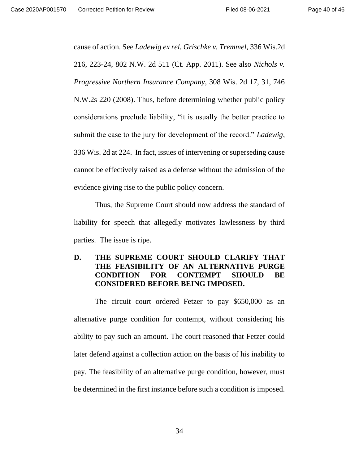cause of action. See *Ladewig ex rel. Grischke v. Tremmel*, 336 Wis.2d 216, 223-24, 802 N.W. 2d 511 (Ct. App. 2011). See also *Nichols v. Progressive Northern Insurance Company*, 308 Wis. 2d 17, 31, 746 N.W.2s 220 (2008). Thus, before determining whether public policy considerations preclude liability, "it is usually the better practice to submit the case to the jury for development of the record." *Ladewig*, 336 Wis. 2d at 224. In fact, issues of intervening or superseding cause cannot be effectively raised as a defense without the admission of the evidence giving rise to the public policy concern.

Thus, the Supreme Court should now address the standard of liability for speech that allegedly motivates lawlessness by third parties. The issue is ripe.

## **D. THE SUPREME COURT SHOULD CLARIFY THAT THE FEASIBILITY OF AN ALTERNATIVE PURGE CONDITION FOR CONTEMPT SHOULD BE CONSIDERED BEFORE BEING IMPOSED.**

<span id="page-39-0"></span>The circuit court ordered Fetzer to pay \$650,000 as an alternative purge condition for contempt, without considering his ability to pay such an amount. The court reasoned that Fetzer could later defend against a collection action on the basis of his inability to pay. The feasibility of an alternative purge condition, however, must be determined in the first instance before such a condition is imposed.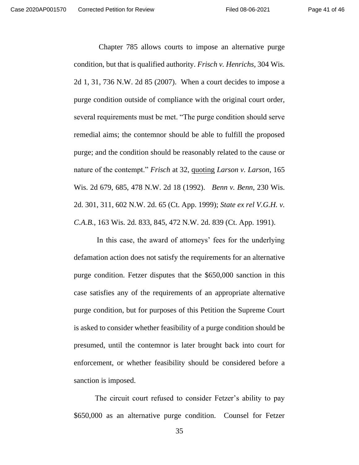Chapter 785 allows courts to impose an alternative purge condition, but that is qualified authority. *Frisch v. Henrichs*, 304 Wis. 2d 1, 31, 736 N.W. 2d 85 (2007). When a court decides to impose a purge condition outside of compliance with the original court order, several requirements must be met. "The purge condition should serve remedial aims; the contemnor should be able to fulfill the proposed purge; and the condition should be reasonably related to the cause or nature of the contempt." *Frisch* at 32, quoting *Larson v. Larson*, 165 Wis. 2d 679, 685, 478 N.W. 2d 18 (1992). *Benn v. Benn*, 230 Wis. 2d. 301, 311, 602 N.W. 2d. 65 (Ct. App. 1999); *State ex rel V.G.H. v. C.A.B.*, 163 Wis. 2d. 833, 845, 472 N.W. 2d. 839 (Ct. App. 1991).

In this case, the award of attorneys' fees for the underlying defamation action does not satisfy the requirements for an alternative purge condition. Fetzer disputes that the \$650,000 sanction in this case satisfies any of the requirements of an appropriate alternative purge condition, but for purposes of this Petition the Supreme Court is asked to consider whether feasibility of a purge condition should be presumed, until the contemnor is later brought back into court for enforcement, or whether feasibility should be considered before a sanction is imposed.

The circuit court refused to consider Fetzer's ability to pay \$650,000 as an alternative purge condition. Counsel for Fetzer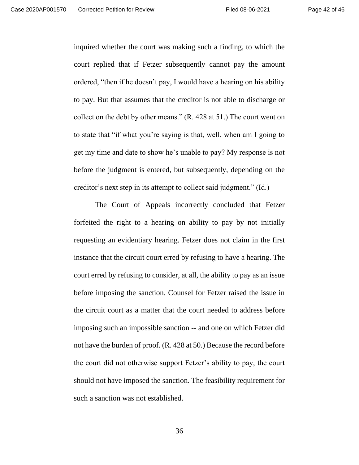inquired whether the court was making such a finding, to which the court replied that if Fetzer subsequently cannot pay the amount ordered, "then if he doesn't pay, I would have a hearing on his ability to pay. But that assumes that the creditor is not able to discharge or collect on the debt by other means." (R. 428 at 51.) The court went on to state that "if what you're saying is that, well, when am I going to get my time and date to show he's unable to pay? My response is not before the judgment is entered, but subsequently, depending on the creditor's next step in its attempt to collect said judgment." (Id.)

The Court of Appeals incorrectly concluded that Fetzer forfeited the right to a hearing on ability to pay by not initially requesting an evidentiary hearing. Fetzer does not claim in the first instance that the circuit court erred by refusing to have a hearing. The court erred by refusing to consider, at all, the ability to pay as an issue before imposing the sanction. Counsel for Fetzer raised the issue in the circuit court as a matter that the court needed to address before imposing such an impossible sanction -- and one on which Fetzer did not have the burden of proof. (R. 428 at 50.) Because the record before the court did not otherwise support Fetzer's ability to pay, the court should not have imposed the sanction. The feasibility requirement for such a sanction was not established.

36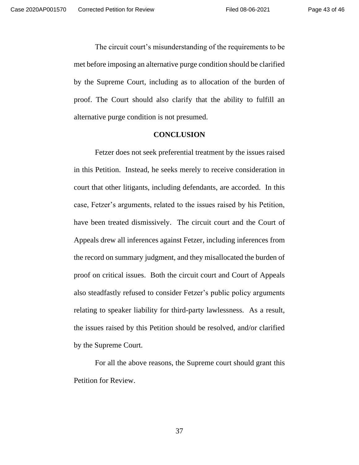The circuit court's misunderstanding of the requirements to be met before imposing an alternative purge condition should be clarified by the Supreme Court, including as to allocation of the burden of proof. The Court should also clarify that the ability to fulfill an alternative purge condition is not presumed.

### <span id="page-42-0"></span>**CONCLUSION**

Fetzer does not seek preferential treatment by the issues raised in this Petition. Instead, he seeks merely to receive consideration in court that other litigants, including defendants, are accorded. In this case, Fetzer's arguments, related to the issues raised by his Petition, have been treated dismissively. The circuit court and the Court of Appeals drew all inferences against Fetzer, including inferences from the record on summary judgment, and they misallocated the burden of proof on critical issues. Both the circuit court and Court of Appeals also steadfastly refused to consider Fetzer's public policy arguments relating to speaker liability for third-party lawlessness. As a result, the issues raised by this Petition should be resolved, and/or clarified by the Supreme Court.

For all the above reasons, the Supreme court should grant this Petition for Review.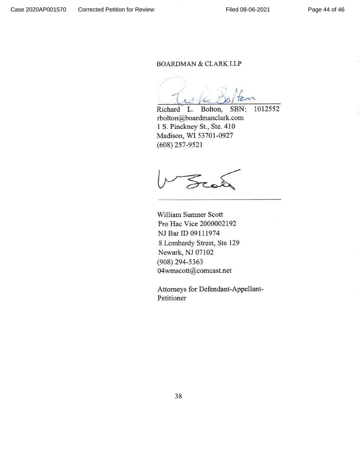### **BOARDMAN & CLARK LLP**

TEM æ.

1012552 Richard L. Bolton, SBN: rbolton@boardmanclark.com 1 S. Pinckney St., Ste. 410 Madison, WI 53701-0927  $(608)$  257-9521

 $\mathcal{Z}_\infty$ 

William Sumner Scott Pro Hac Vice 2000002192 NJ Bar ID 09111974 8 Lombardy Street, Ste 129 Newark, NJ 07102  $(908)$  294-5363 04wmscott@comcast.net

Attorneys for Defendant-Appellant-Petitioner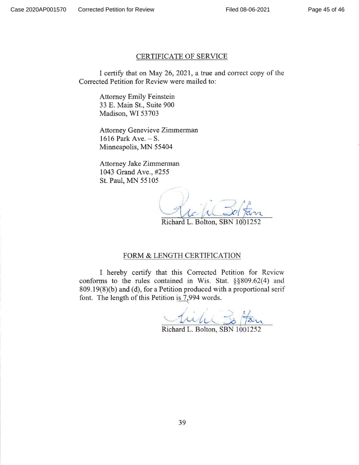### **CERTIFICATE OF SERVICE**

I certify that on May 26, 2021, a true and correct copy of the Corrected Petition for Review were mailed to:

**Attorney Emily Feinstein** 33 E. Main St., Suite 900 Madison, WI 53703

**Attorney Genevieve Zimmerman** 1616 Park Ave.  $-$  S. Minneapolis, MN 55404

Attorney Jake Zimmerman 1043 Grand Ave., #255 St. Paul, MN 55105

Richard L. Bolton, SBN 1001252

### FORM & LENGTH CERTIFICATION

I hereby certify that this Corrected Petition for Review conforms to the rules contained in Wis. Stat. §§809.62(4) and 809.19(8)(b) and (d), for a Petition produced with a proportional serif font. The length of this Petition is 7,994 words.

tribe

Richard L. Bolton, SBN 1001252